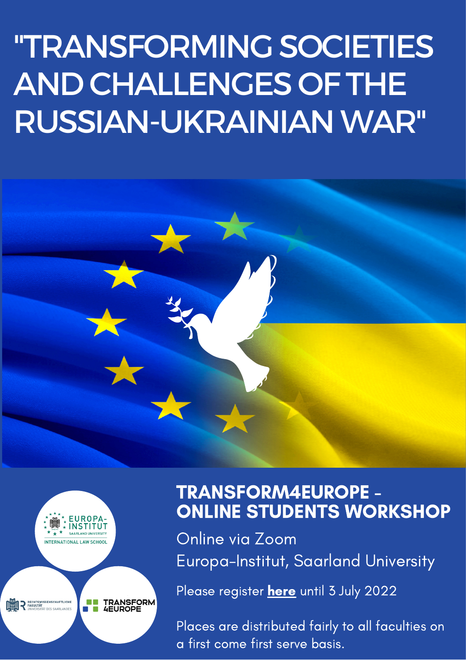# "TRANSFORMING SOCIETIES AND CHALLENGES OF THE RUSSIAN-UKRAINIANWAR"



**TRANSFORM<br>4EUROPE** 

**RECHTSWISSENSCHAFTLICHE**<br>FAKULTÄT

TRANSFORM4EUROPE - ONLINE STUDENTS WORKSHOP

Online via Zoom Europa-Institut, Saarland University

Please [register](https://forms.office.com/Pages/ResponsePage.aspx?id=JwBhZ8MatkmGQczYPOGwHwZjYxlhhiRBvZLKjgrSNzZUREpUQTNGWEo2QUNaVlpUNDZLRlQ0N0RTQiQlQCN0PWcu) **[here](https://forms.office.com/Pages/ResponsePage.aspx?id=JwBhZ8MatkmGQczYPOGwHwZjYxlhhiRBvZLKjgrSNzZUQlBTWkdUSEpLTjdFTklCWklNNlRCWTM1RSQlQCN0PWcu)** until 3 July 2022

Places are distributed fairly to all faculties on a first come first serve basis.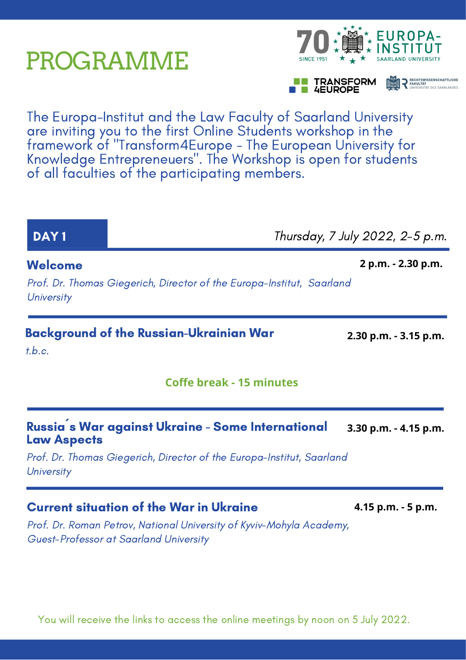### PROGRAMME

The Europa-Institut and the Law Faculty of Saarland University are inviting you to the first Online Students workshop in the framework of "Transform4Europe - The European University for Knowledge Entrepreneuers ". The Workshop is open for students of all faculties of the participating members.

#### Prof. Dr. Roman Petrov, National University of Kyviv-Mohyla Academy, Background of the Russian-Ukrainian War t.b.c. Russia´s War against Ukraine - Some International Law Aspects Prof. Dr. Thomas Giegerich, Director of the Europa-Institut, Saarland **University DAY 1 DAY 1 Thursday, 7 July 2022, 2-5 p.m.** Welcome Prof. Dr. Thomas Giegerich, Director of the Europa-Institut, Saarland **University** Current situation of the War in Ukraine Guest-Professor at Saarland University **Coffe break - 15 minutes 2 p.m. - 2.30 p.m. 2.30 p.m. - 3.15 p.m. 3.30 p.m. - 4.15 p.m. 4.15 p.m. - 5 p.m.**



**TRANSFORM 4EUROPE** 

**DE PRECHTSWISSENSCHAFTLICHE**